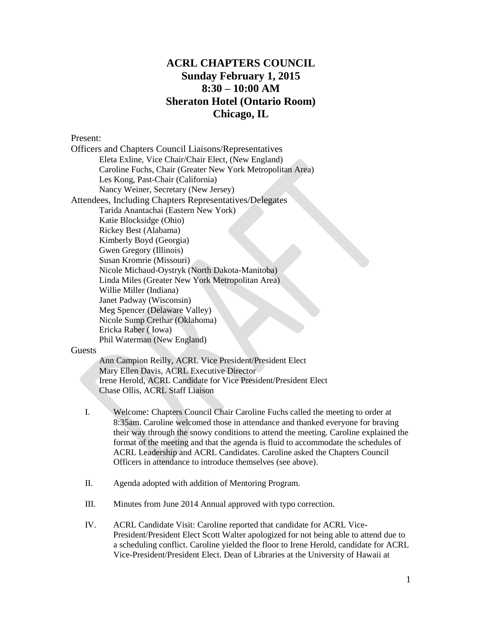### **ACRL CHAPTERS COUNCIL Sunday February 1, 2015 8:30 – 10:00 AM Sheraton Hotel (Ontario Room) Chicago, IL**

Present:

Officers and Chapters Council Liaisons/Representatives Eleta Exline, Vice Chair/Chair Elect, (New England) Caroline Fuchs, Chair (Greater New York Metropolitan Area) Les Kong, Past-Chair (California) Nancy Weiner, Secretary (New Jersey) Attendees, Including Chapters Representatives/Delegates Tarida Anantachai (Eastern New York) Katie Blocksidge (Ohio) Rickey Best (Alabama) Kimberly Boyd (Georgia) Gwen Gregory (Illinois) Susan Kromrie (Missouri) Nicole Michaud-Oystryk (North Dakota-Manitoba) Linda Miles (Greater New York Metropolitan Area) Willie Miller (Indiana) Janet Padway (Wisconsin) Meg Spencer (Delaware Valley) Nicole Sump Crethar (Oklahoma) Ericka Raber ( Iowa) Phil Waterman (New England)

#### **Guests**

Ann Campion Reilly, ACRL Vice President/President Elect Mary Ellen Davis, ACRL Executive Director Irene Herold, ACRL Candidate for Vice President/President Elect Chase Ollis, ACRL Staff Liaison

- I. Welcome: Chapters Council Chair Caroline Fuchs called the meeting to order at 8:35am. Caroline welcomed those in attendance and thanked everyone for braving their way through the snowy conditions to attend the meeting. Caroline explained the format of the meeting and that the agenda is fluid to accommodate the schedules of ACRL Leadership and ACRL Candidates. Caroline asked the Chapters Council Officers in attendance to introduce themselves (see above).
- II. Agenda adopted with addition of Mentoring Program.
- III. Minutes from June 2014 Annual approved with typo correction.
- IV. ACRL Candidate Visit: Caroline reported that candidate for ACRL Vice-President/President Elect Scott Walter apologized for not being able to attend due to a scheduling conflict. Caroline yielded the floor to Irene Herold, candidate for ACRL Vice-President/President Elect. Dean of Libraries at the University of Hawaii at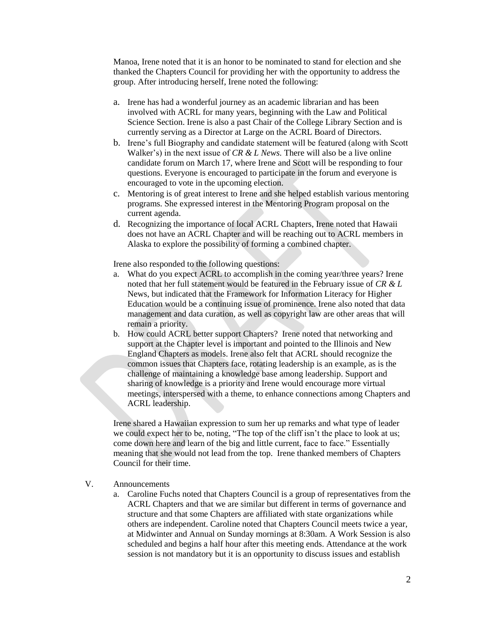Manoa, Irene noted that it is an honor to be nominated to stand for election and she thanked the Chapters Council for providing her with the opportunity to address the group. After introducing herself, Irene noted the following:

- a. Irene has had a wonderful journey as an academic librarian and has been involved with ACRL for many years, beginning with the Law and Political Science Section. Irene is also a past Chair of the College Library Section and is currently serving as a Director at Large on the ACRL Board of Directors.
- b. Irene's full Biography and candidate statement will be featured (along with Scott Walker's) in the next issue of *CR & L News*. There will also be a live online candidate forum on March 17, where Irene and Scott will be responding to four questions. Everyone is encouraged to participate in the forum and everyone is encouraged to vote in the upcoming election.
- c. Mentoring is of great interest to Irene and she helped establish various mentoring programs. She expressed interest in the Mentoring Program proposal on the current agenda.
- d. Recognizing the importance of local ACRL Chapters, Irene noted that Hawaii does not have an ACRL Chapter and will be reaching out to ACRL members in Alaska to explore the possibility of forming a combined chapter.

Irene also responded to the following questions:

- a. What do you expect ACRL to accomplish in the coming year/three years? Irene noted that her full statement would be featured in the February issue of *CR & L*  News, but indicated that the Framework for Information Literacy for Higher Education would be a continuing issue of prominence. Irene also noted that data management and data curation, as well as copyright law are other areas that will remain a priority.
- b. How could ACRL better support Chapters? Irene noted that networking and support at the Chapter level is important and pointed to the Illinois and New England Chapters as models. Irene also felt that ACRL should recognize the common issues that Chapters face, rotating leadership is an example, as is the challenge of maintaining a knowledge base among leadership. Support and sharing of knowledge is a priority and Irene would encourage more virtual meetings, interspersed with a theme, to enhance connections among Chapters and ACRL leadership.

Irene shared a Hawaiian expression to sum her up remarks and what type of leader we could expect her to be, noting, "The top of the cliff isn't the place to look at us; come down here and learn of the big and little current, face to face." Essentially meaning that she would not lead from the top. Irene thanked members of Chapters Council for their time.

- V. Announcements
	- a. Caroline Fuchs noted that Chapters Council is a group of representatives from the ACRL Chapters and that we are similar but different in terms of governance and structure and that some Chapters are affiliated with state organizations while others are independent. Caroline noted that Chapters Council meets twice a year, at Midwinter and Annual on Sunday mornings at 8:30am. A Work Session is also scheduled and begins a half hour after this meeting ends. Attendance at the work session is not mandatory but it is an opportunity to discuss issues and establish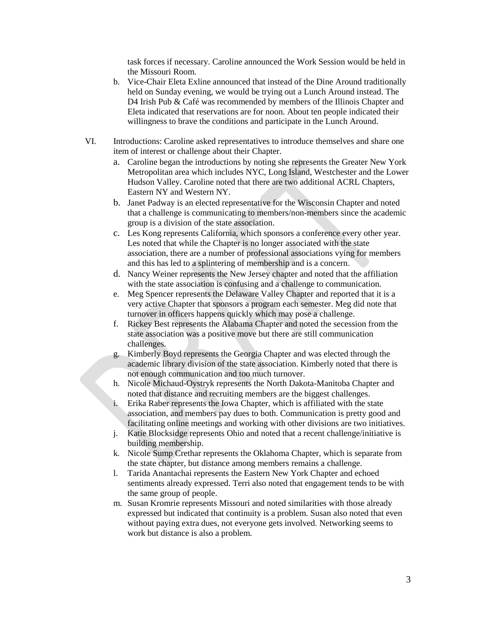task forces if necessary. Caroline announced the Work Session would be held in the Missouri Room.

- b. Vice-Chair Eleta Exline announced that instead of the Dine Around traditionally held on Sunday evening, we would be trying out a Lunch Around instead. The D4 Irish Pub & Café was recommended by members of the Illinois Chapter and Eleta indicated that reservations are for noon. About ten people indicated their willingness to brave the conditions and participate in the Lunch Around.
- VI. Introductions: Caroline asked representatives to introduce themselves and share one item of interest or challenge about their Chapter.
	- a. Caroline began the introductions by noting she represents the Greater New York Metropolitan area which includes NYC, Long Island, Westchester and the Lower Hudson Valley. Caroline noted that there are two additional ACRL Chapters, Eastern NY and Western NY.
	- b. Janet Padway is an elected representative for the Wisconsin Chapter and noted that a challenge is communicating to members/non-members since the academic group is a division of the state association.
	- c. Les Kong represents California, which sponsors a conference every other year. Les noted that while the Chapter is no longer associated with the state association, there are a number of professional associations vying for members and this has led to a splintering of membership and is a concern.
	- d. Nancy Weiner represents the New Jersey chapter and noted that the affiliation with the state association is confusing and a challenge to communication.
	- e. Meg Spencer represents the Delaware Valley Chapter and reported that it is a very active Chapter that sponsors a program each semester. Meg did note that turnover in officers happens quickly which may pose a challenge.
	- f. Rickey Best represents the Alabama Chapter and noted the secession from the state association was a positive move but there are still communication challenges.
	- g. Kimberly Boyd represents the Georgia Chapter and was elected through the academic library division of the state association. Kimberly noted that there is not enough communication and too much turnover.
	- h. Nicole Michaud-Oystryk represents the North Dakota-Manitoba Chapter and noted that distance and recruiting members are the biggest challenges.
	- i. Erika Raber represents the Iowa Chapter, which is affiliated with the state association, and members pay dues to both. Communication is pretty good and facilitating online meetings and working with other divisions are two initiatives.
	- j. Katie Blocksidge represents Ohio and noted that a recent challenge/initiative is building membership.
	- k. Nicole Sump Crethar represents the Oklahoma Chapter, which is separate from the state chapter, but distance among members remains a challenge.
	- l. Tarida Anantachai represents the Eastern New York Chapter and echoed sentiments already expressed. Terri also noted that engagement tends to be with the same group of people.
	- m. Susan Kromrie represents Missouri and noted similarities with those already expressed but indicated that continuity is a problem. Susan also noted that even without paying extra dues, not everyone gets involved. Networking seems to work but distance is also a problem.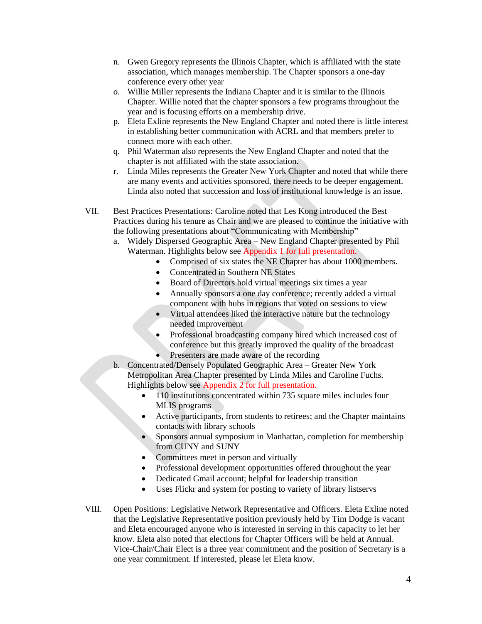- n. Gwen Gregory represents the Illinois Chapter, which is affiliated with the state association, which manages membership. The Chapter sponsors a one-day conference every other year
- o. Willie Miller represents the Indiana Chapter and it is similar to the Illinois Chapter. Willie noted that the chapter sponsors a few programs throughout the year and is focusing efforts on a membership drive.
- p. Eleta Exline represents the New England Chapter and noted there is little interest in establishing better communication with ACRL and that members prefer to connect more with each other.
- q. Phil Waterman also represents the New England Chapter and noted that the chapter is not affiliated with the state association.
- r. Linda Miles represents the Greater New York Chapter and noted that while there are many events and activities sponsored, there needs to be deeper engagement. Linda also noted that succession and loss of institutional knowledge is an issue.
- VII. Best Practices Presentations: Caroline noted that Les Kong introduced the Best Practices during his tenure as Chair and we are pleased to continue the initiative with the following presentations about "Communicating with Membership"
	- a. Widely Dispersed Geographic Area New England Chapter presented by Phil Waterman. Highlights below see Appendix 1 for full presentation.
		- Comprised of six states the NE Chapter has about 1000 members.
		- Concentrated in Southern NE States
		- Board of Directors hold virtual meetings six times a year
		- Annually sponsors a one day conference; recently added a virtual component with hubs in regions that voted on sessions to view
		- Virtual attendees liked the interactive nature but the technology needed improvement
		- Professional broadcasting company hired which increased cost of conference but this greatly improved the quality of the broadcast
		- Presenters are made aware of the recording
	- b. Concentrated/Densely Populated Geographic Area Greater New York Metropolitan Area Chapter presented by Linda Miles and Caroline Fuchs. Highlights below see Appendix 2 for full presentation.
		- 110 institutions concentrated within 735 square miles includes four MLIS programs
		- Active participants, from students to retirees; and the Chapter maintains contacts with library schools
		- Sponsors annual symposium in Manhattan, completion for membership from CUNY and SUNY
		- Committees meet in person and virtually
		- Professional development opportunities offered throughout the year
		- Dedicated Gmail account; helpful for leadership transition
		- Uses Flickr and system for posting to variety of library listservs
- VIII. Open Positions: Legislative Network Representative and Officers. Eleta Exline noted that the Legislative Representative position previously held by Tim Dodge is vacant and Eleta encouraged anyone who is interested in serving in this capacity to let her know. Eleta also noted that elections for Chapter Officers will be held at Annual. Vice-Chair/Chair Elect is a three year commitment and the position of Secretary is a one year commitment. If interested, please let Eleta know.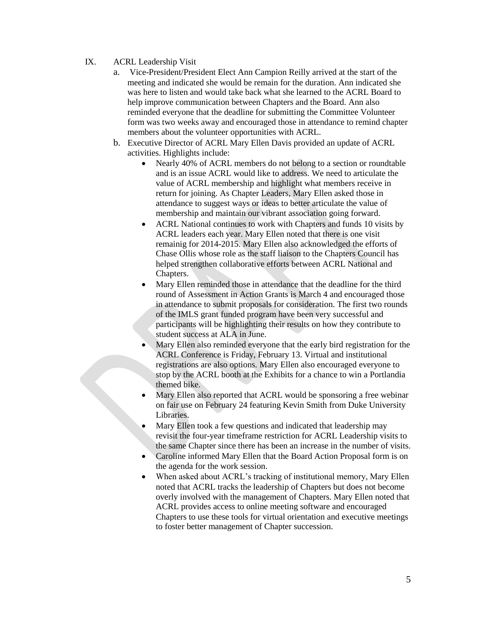- IX. ACRL Leadership Visit
	- a. Vice-President/President Elect Ann Campion Reilly arrived at the start of the meeting and indicated she would be remain for the duration. Ann indicated she was here to listen and would take back what she learned to the ACRL Board to help improve communication between Chapters and the Board. Ann also reminded everyone that the deadline for submitting the Committee Volunteer form was two weeks away and encouraged those in attendance to remind chapter members about the volunteer opportunities with ACRL.
	- b. Executive Director of ACRL Mary Ellen Davis provided an update of ACRL activities. Highlights include:
		- Nearly 40% of ACRL members do not belong to a section or roundtable and is an issue ACRL would like to address. We need to articulate the value of ACRL membership and highlight what members receive in return for joining. As Chapter Leaders, Mary Ellen asked those in attendance to suggest ways or ideas to better articulate the value of membership and maintain our vibrant association going forward.
		- ACRL National continues to work with Chapters and funds 10 visits by ACRL leaders each year. Mary Ellen noted that there is one visit remainig for 2014-2015. Mary Ellen also acknowledged the efforts of Chase Ollis whose role as the staff liaison to the Chapters Council has helped strengthen collaborative efforts between ACRL National and Chapters.
		- Mary Ellen reminded those in attendance that the deadline for the third round of Assessment in Action Grants is March 4 and encouraged those in attendance to submit proposals for consideration. The first two rounds of the IMLS grant funded program have been very successful and participants will be highlighting their results on how they contribute to student success at ALA in June.
		- Mary Ellen also reminded everyone that the early bird registration for the ACRL Conference is Friday, February 13. Virtual and institutional registrations are also options. Mary Ellen also encouraged everyone to stop by the ACRL booth at the Exhibits for a chance to win a Portlandia themed bike.
		- Mary Ellen also reported that ACRL would be sponsoring a free webinar on fair use on February 24 featuring Kevin Smith from Duke University Libraries.
		- Mary Ellen took a few questions and indicated that leadership may revisit the four-year timeframe restriction for ACRL Leadership visits to the same Chapter since there has been an increase in the number of visits.
		- Caroline informed Mary Ellen that the Board Action Proposal form is on the agenda for the work session.
		- When asked about ACRL's tracking of institutional memory, Mary Ellen noted that ACRL tracks the leadership of Chapters but does not become overly involved with the management of Chapters. Mary Ellen noted that ACRL provides access to online meeting software and encouraged Chapters to use these tools for virtual orientation and executive meetings to foster better management of Chapter succession.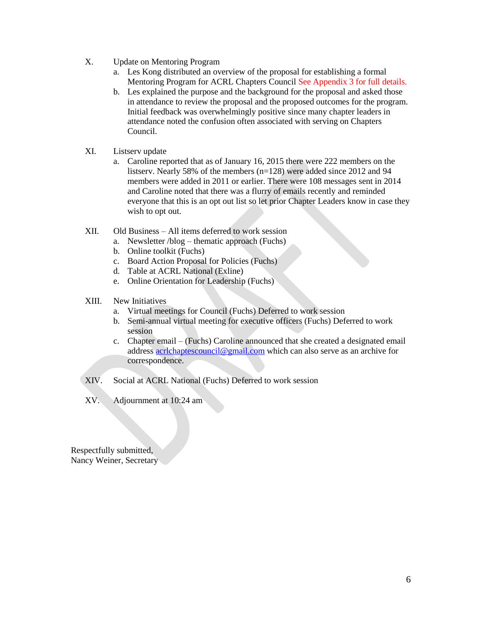- X. Update on Mentoring Program
	- a. Les Kong distributed an overview of the proposal for establishing a formal Mentoring Program for ACRL Chapters Council See Appendix 3 for full details.
	- b. Les explained the purpose and the background for the proposal and asked those in attendance to review the proposal and the proposed outcomes for the program. Initial feedback was overwhelmingly positive since many chapter leaders in attendance noted the confusion often associated with serving on Chapters Council.
- XI. Listserv update
	- a. Caroline reported that as of January 16, 2015 there were 222 members on the listserv. Nearly 58% of the members (n=128) were added since 2012 and 94 members were added in 2011 or earlier. There were 108 messages sent in 2014 and Caroline noted that there was a flurry of emails recently and reminded everyone that this is an opt out list so let prior Chapter Leaders know in case they wish to opt out.
- XII. Old Business All items deferred to work session
	- a. Newsletter /blog thematic approach (Fuchs)
	- b. Online toolkit (Fuchs)
	- c. Board Action Proposal for Policies (Fuchs)
	- d. Table at ACRL National (Exline)
	- e. Online Orientation for Leadership (Fuchs)
- XIII. New Initiatives
	- a. Virtual meetings for Council (Fuchs) Deferred to work session
	- b. Semi-annual virtual meeting for executive officers (Fuchs) Deferred to work session
	- c. Chapter email (Fuchs) Caroline announced that she created a designated email addres[s acrlchaptescouncil@gmail.com](mailto:acrlchaptescouncil@gmail.com) which can also serve as an archive for correspondence.
- XIV. Social at ACRL National (Fuchs) Deferred to work session
- XV. Adjournment at 10:24 am

Respectfully submitted, Nancy Weiner, Secretary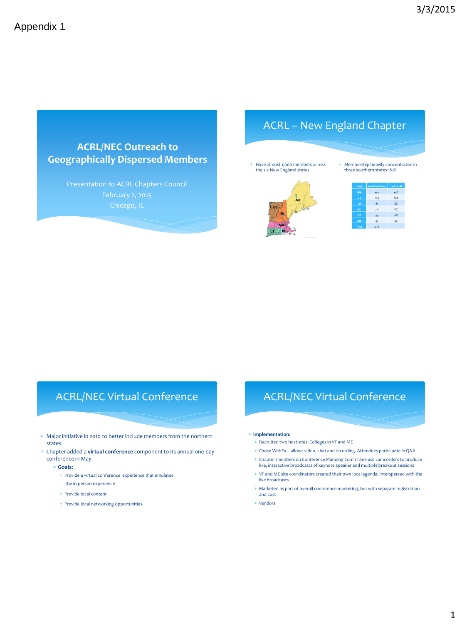

Chicago, IL

## ACRL – New England Chapter

 Have almost 1,000 members across the six New England states.



 Membership heavily concentrated in three southern states: 82%

| <b>State</b> | $*$ of Members $\ $ | % of Total |
|--------------|---------------------|------------|
| MA           | 535                 | 55%        |
| <b>CT</b>    | 183                 | 19%        |
| RI           | 81                  | $8\%$      |
| NH           | 78                  | R%         |
| VT           | 59                  | 6%         |
| <b>ME</b>    | 42                  | 4%         |
| Total        | 9/8                 |            |

### ACRL/NEC Virtual Conference

- Major initiative in 2010 to better include members from the northern states
- Chapter added a **virtual conference** component to its annual one-day conference in May.
	- **Goals:**
		- Provide a virtual conference experience that emulates the in-person experience
		- Provide local content
		- Provide local networking opportunities

## ACRL/NEC Virtual Conference

#### **Implementation:**

- Recruited two host sites: Colleges in VT and ME
- Chose WebEx allows video, chat and recording. Attendees participate in Q&A
- Chapter members on Conference Planning Committee use camcorders to produce live, interactive broadcasts of keynote speaker and multiple breakout sessions
- VT and ME site coordinators created their own local agenda, interspersed with the live broadcasts
- Marketed as part of overall conference marketing, but with separate registration and cost
- Vendors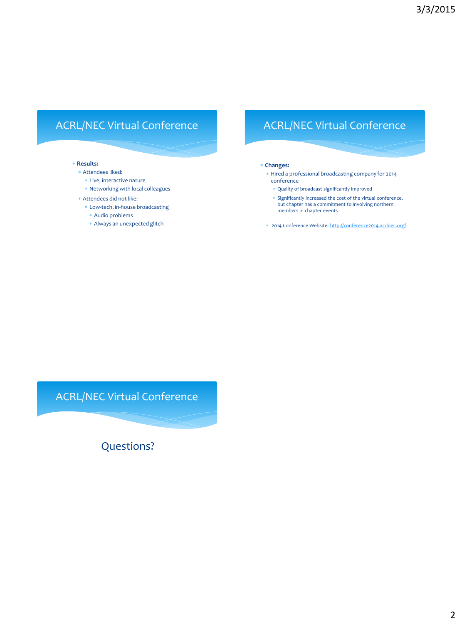## ACRL/NEC Virtual Conference

#### **Results:**

- Attendees liked:
- Live, interactive nature
- Networking with local colleagues
- Attendees did not like:
	- Low-tech, in-house broadcasting
	- Audio problems
	- Always an unexpected glitch

### ACRL/NEC Virtual Conference

#### **Changes:**

- Hired a professional broadcasting company for 2014 conference
	- Quality of broadcast significantly improved
	- Significantly increased the cost of the virtual conference, but chapter has a commitment to involving northern members in chapter events
- 2014 Conference Website:<http://conference2014.acrlnec.org/>

ACRL/NEC Virtual Conference

Questions?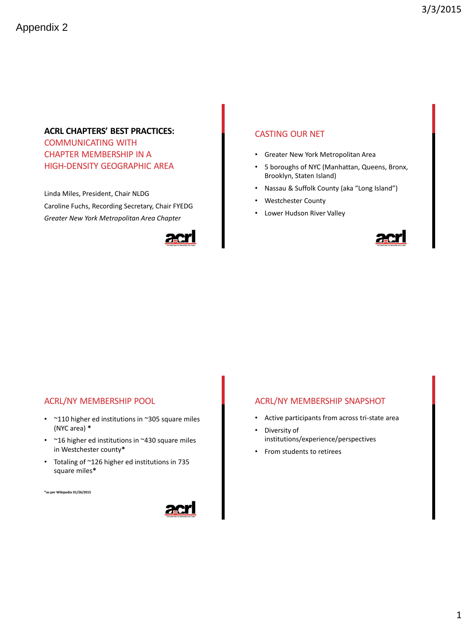### **ACRL CHAPTERS' BEST PRACTICES:** COMMUNICATING WITH CHAPTER MEMBERSHIP IN A HIGH-DENSITY GEOGRAPHIC AREA

Linda Miles, President, Chair NLDG Caroline Fuchs, Recording Secretary, Chair FYEDG *Greater New York Metropolitan Area Chapter*



### CASTING OUR NET

- Greater New York Metropolitan Area
- 5 boroughs of NYC (Manhattan, Queens, Bronx, Brooklyn, Staten Island)
- Nassau & Suffolk County (aka "Long Island")
- Westchester County
- Lower Hudson River Valley



#### ACRL/NY MEMBERSHIP POOL

- ~110 higher ed institutions in ~305 square miles (NYC area) **\***
- ~16 higher ed institutions in ~430 square miles in Westchester county**\***
- Totaling of ~126 higher ed institutions in 735 square miles**\***

**\*as per Wikipedia 01/26/2015**



#### ACRL/NY MEMBERSHIP SNAPSHOT

- Active participants from across tri-state area
- Diversity of institutions/experience/perspectives
- From students to retirees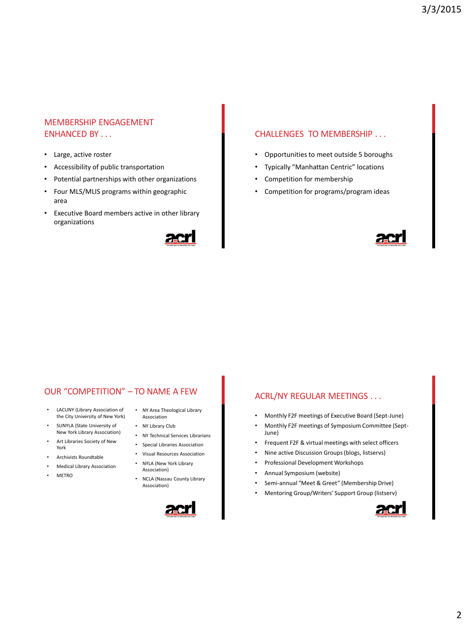#### MEMBERSHIP ENGAGEMENT ENHANCED BY . . .

- Large, active roster
- Accessibility of public transportation
- Potential partnerships with other organizations
- Four MLS/MLIS programs within geographic area
- Executive Board members active in other library organizations



#### CHALLENGES TO MEMBERSHIP . . .

- Opportunities to meet outside 5 boroughs
- Typically "Manhattan Centric" locations
- Competition for membership
- Competition for programs/program ideas



#### OUR "COMPETITION" – TO NAME A FEW

- LACUNY (Library Association of the City University of New York)
- SUNYLA (State University of New York Library Association)
- Art Libraries Society of New York
- Archivists Roundtable
- Medical Library Association
- METRO
- NY Area Theological Library
- Association • NY Library Club
- NY Technical Services Librarians
- Special Libraries Association
- Visual Resources Association
- NYLA (New York Library Association)
- NCLA (Nassau County Library Association)



#### ACRL/NY REGULAR MEETINGS . . .

- Monthly F2F meetings of Executive Board (Sept-June)
- Monthly F2F meetings of Symposium Committee (Sept-June)
- Frequent F2F & virtual meetings with select officers
- Nine active Discussion Groups (blogs, listservs)
- Professional Development Workshops
- Annual Symposium (website)
- Semi-annual "Meet & Greet" (Membership Drive)
- Mentoring Group/Writers' Support Group (listserv)

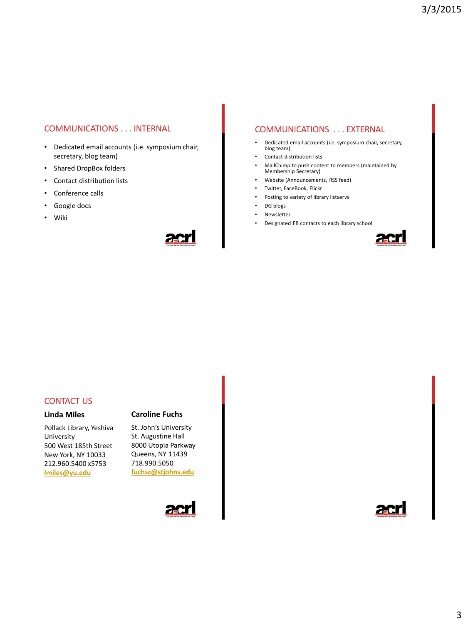### COMMUNICATIONS . . . INTERNAL

- Dedicated email accounts (i.e. symposium chair, secretary, blog team)
- Shared DropBox folders
- Contact distribution lists
- Conference calls
- Google docs
- Wiki



#### COMMUNICATIONS . . . EXTERNAL

- Dedicated email accounts (i.e. symposium chair, secretary, blog team)
- Contact distribution lists
- MailChimp to push content to members (maintained by Membership Secretary)
- Website (Announcements, RSS feed)
- Twitter, FaceBook, Flickr
- Posting to variety of library listservs
- DG blogs
- Newsletter
- Designated EB contacts to each library school



#### CONTACT US

#### **Linda Miles**

Pollack Library, Yeshiva University 500 West 185th Street New York, NY 10033 212.960.5400 x5753 **[lmiles@yu.edu](mailto:lmiles@yu.edu)**

#### **Caroline Fuchs**

St. John's University St. Augustine Hall 8000 Utopia Parkway Queens, NY 11439 718.990.5050 **[fuchsc@stjohns.edu](mailto:fuchsc@stjohns.edu)**



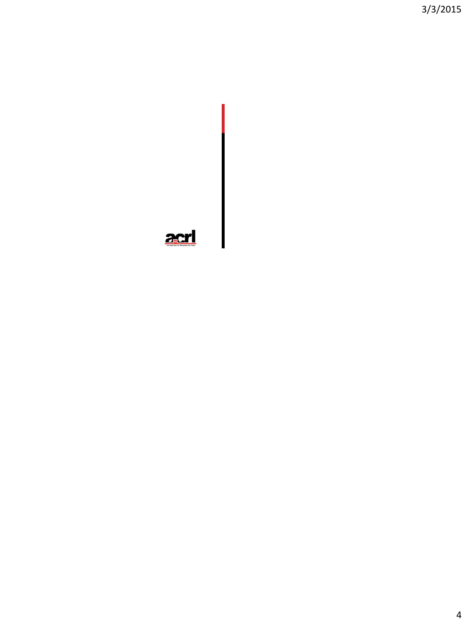3/3/2015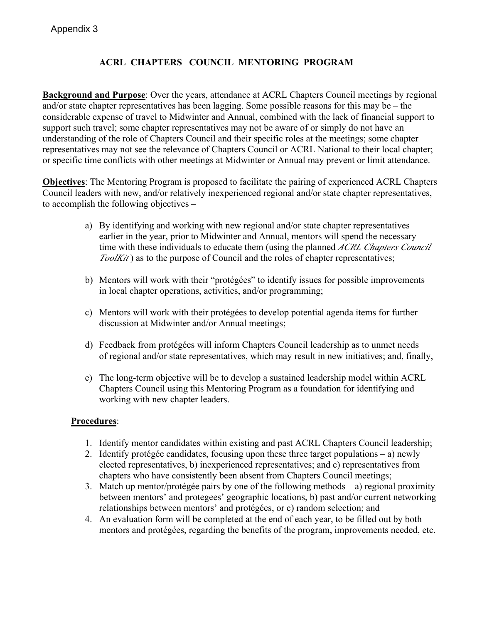### **ACRL CHAPTERS COUNCIL MENTORING PROGRAM**

**Background and Purpose**: Over the years, attendance at ACRL Chapters Council meetings by regional and/or state chapter representatives has been lagging. Some possible reasons for this may be – the considerable expense of travel to Midwinter and Annual, combined with the lack of financial support to support such travel; some chapter representatives may not be aware of or simply do not have an understanding of the role of Chapters Council and their specific roles at the meetings; some chapter representatives may not see the relevance of Chapters Council or ACRL National to their local chapter; or specific time conflicts with other meetings at Midwinter or Annual may prevent or limit attendance.

**Objectives**: The Mentoring Program is proposed to facilitate the pairing of experienced ACRL Chapters Council leaders with new, and/or relatively inexperienced regional and/or state chapter representatives, to accomplish the following objectives –

- a) By identifying and working with new regional and/or state chapter representatives earlier in the year, prior to Midwinter and Annual, mentors will spend the necessary time with these individuals to educate them (using the planned *ACRL Chapters Council ToolKit* ) as to the purpose of Council and the roles of chapter representatives;
- b) Mentors will work with their "protégées" to identify issues for possible improvements in local chapter operations, activities, and/or programming;
- c) Mentors will work with their protégées to develop potential agenda items for further discussion at Midwinter and/or Annual meetings;
- d) Feedback from protégées will inform Chapters Council leadership as to unmet needs of regional and/or state representatives, which may result in new initiatives; and, finally,
- e) The long-term objective will be to develop a sustained leadership model within ACRL Chapters Council using this Mentoring Program as a foundation for identifying and working with new chapter leaders.

### **Procedures**:

- 1. Identify mentor candidates within existing and past ACRL Chapters Council leadership;
- 2. Identify protégée candidates, focusing upon these three target populations a) newly elected representatives, b) inexperienced representatives; and c) representatives from chapters who have consistently been absent from Chapters Council meetings;
- 3. Match up mentor/protégée pairs by one of the following methods a) regional proximity between mentors' and protegees' geographic locations, b) past and/or current networking relationships between mentors' and protégées, or c) random selection; and
- 4. An evaluation form will be completed at the end of each year, to be filled out by both mentors and protégées, regarding the benefits of the program, improvements needed, etc.